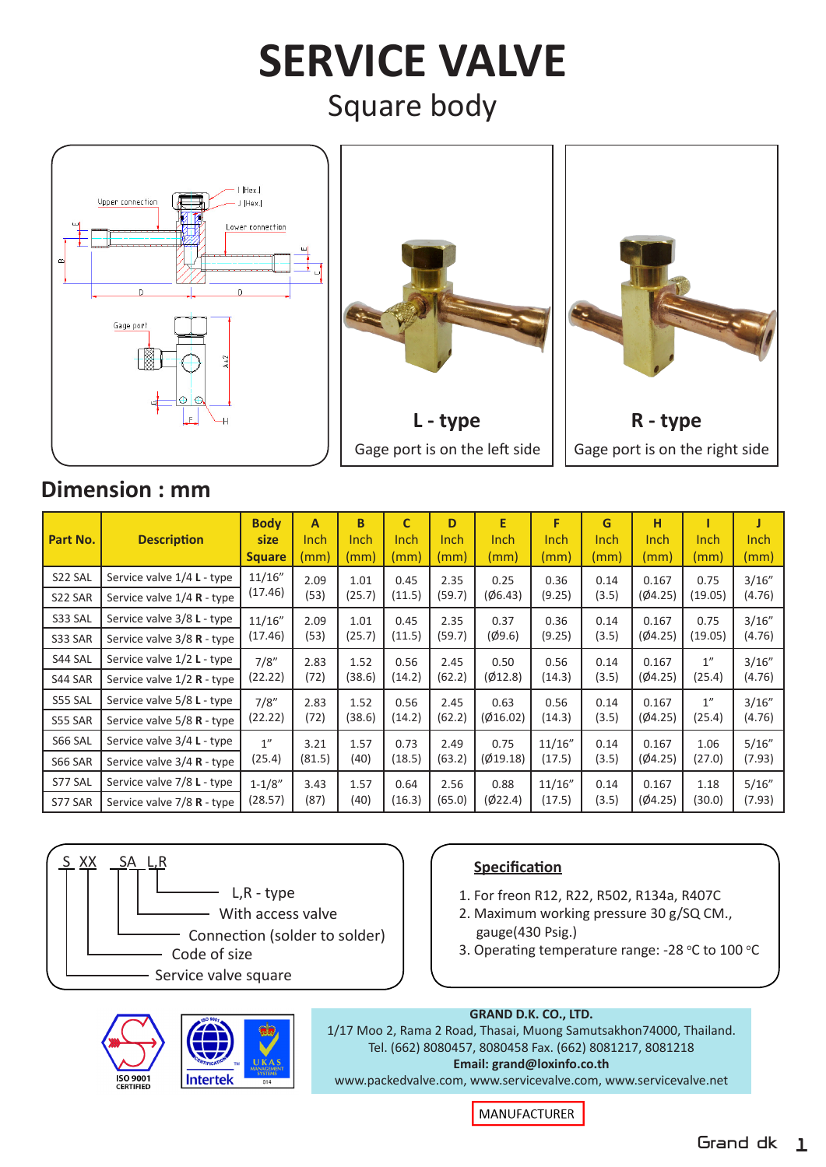# **SERVICE VALVE** Square body







# **Dimension : mm**

| Part No. | <b>Description</b>           | <b>Body</b><br>size<br><b>Square</b> | A<br>Inch<br>(mm) | B<br>Inch<br>(mm) | C<br><b>Inch</b><br>(mm) | D<br>Inch<br>(mm) | E<br>Inch<br>(mm) | F<br>Inch<br>(mm) | G<br><b>Inch</b><br>(mm) | н<br>Inch<br>(mm) | Inch<br>(mm)    | <b>Inch</b><br>(mm) |
|----------|------------------------------|--------------------------------------|-------------------|-------------------|--------------------------|-------------------|-------------------|-------------------|--------------------------|-------------------|-----------------|---------------------|
| S22 SAL  | Service valve 1/4 L - type   | 11/16"<br>(17.46)                    | 2.09<br>(53)      | 1.01<br>(25.7)    | 0.45<br>(11.5)           | 2.35<br>(59.7)    | 0.25<br>(06.43)   | 0.36<br>(9.25)    | 0.14<br>(3.5)            | 0.167<br>(Ø4.25)  | 0.75<br>(19.05) | 3/16"<br>(4.76)     |
| S22 SAR  | Service valve $1/4$ R - type |                                      |                   |                   |                          |                   |                   |                   |                          |                   |                 |                     |
| S33 SAL  | Service valve 3/8 L - type   | 11/16"<br>(17.46)                    | 2.09<br>(53)      | 1.01<br>(25.7)    | 0.45<br>(11.5)           | 2.35<br>(59.7)    | 0.37<br>(Ø9.6)    | 0.36<br>(9.25)    | 0.14<br>(3.5)            | 0.167<br>(Ø4.25)  | 0.75<br>(19.05) | 3/16''<br>(4.76)    |
| S33 SAR  | Service valve 3/8 R - type   |                                      |                   |                   |                          |                   |                   |                   |                          |                   |                 |                     |
| S44 SAL  | Service valve 1/2 L - type   | 7/8"<br>(22.22)                      | 2.83<br>(72)      | 1.52<br>(38.6)    | 0.56<br>(14.2)           | 2.45<br>(62.2)    | 0.50<br>(Ø12.8)   | 0.56<br>(14.3)    | 0.14<br>(3.5)            | 0.167<br>(Ø4.25)  | 1"<br>(25.4)    | 3/16''<br>(4.76)    |
| S44 SAR  | Service valve $1/2$ R - type |                                      |                   |                   |                          |                   |                   |                   |                          |                   |                 |                     |
| S55 SAL  | Service valve 5/8 L - type   | 7/8''<br>(22.22)                     | 2.83<br>(72)      | 1.52<br>(38.6)    | 0.56<br>(14.2)           | 2.45<br>(62.2)    | 0.63<br>(Ø16.02)  | 0.56<br>(14.3)    | 0.14<br>(3.5)            | 0.167<br>(Ø4.25)  | 1"<br>(25.4)    | 3/16''<br>(4.76)    |
| S55 SAR  | Service valve $5/8$ R - type |                                      |                   |                   |                          |                   |                   |                   |                          |                   |                 |                     |
| S66 SAL  | Service valve 3/4 L - type   | 1"                                   | 3.21              | 1.57              | 0.73                     | 2.49              | 0.75              | 11/16"            | 0.14                     | 0.167             | 1.06            | 5/16''              |
| S66 SAR  | Service valve $3/4$ R - type | (25.4)                               | (81.5)            | (40)              | (18.5)                   | (63.2)            | (Ø19.18)          | (17.5)            | (3.5)                    | (Ø4.25)           | (27.0)          | (7.93)              |
| S77 SAL  | Service valve 7/8 L - type   | $1 - 1/8"$<br>(28.57)                | 3.43<br>(87)      | 1.57<br>(40)      | 0.64<br>(16.3)           | 2.56<br>(65.0)    | 0.88<br>(Ø22.4)   | 11/16"<br>(17.5)  | 0.14<br>(3.5)            | 0.167<br>(Ø4.25)  | 1.18<br>(30.0)  | 5/16"<br>(7.93)     |
| S77 SAR  | Service valve $7/8$ R - type |                                      |                   |                   |                          |                   |                   |                   |                          |                   |                 |                     |



# **ISO 900**<sup></sup> Intertek



- 1. For freon R12, R22, R502, R134a, R407C
- 2. Maximum working pressure 30 g/SQ CM., gauge(430 Psig.)
- 3. Operating temperature range: -28 °C to 100 °C

#### **GRAND D.K. CO., LTD.** 1/17 Moo 2, Rama 2 Road, Thasai, Muong Samutsakhon74000, Thailand. Tel. (662) 8080457, 8080458 Fax. (662) 8081217, 8081218

**Email: grand@loxinfo.co.th** www.packedvalve.com, www.servicevalve.com, www.servicevalve.net

MANUFACTURER